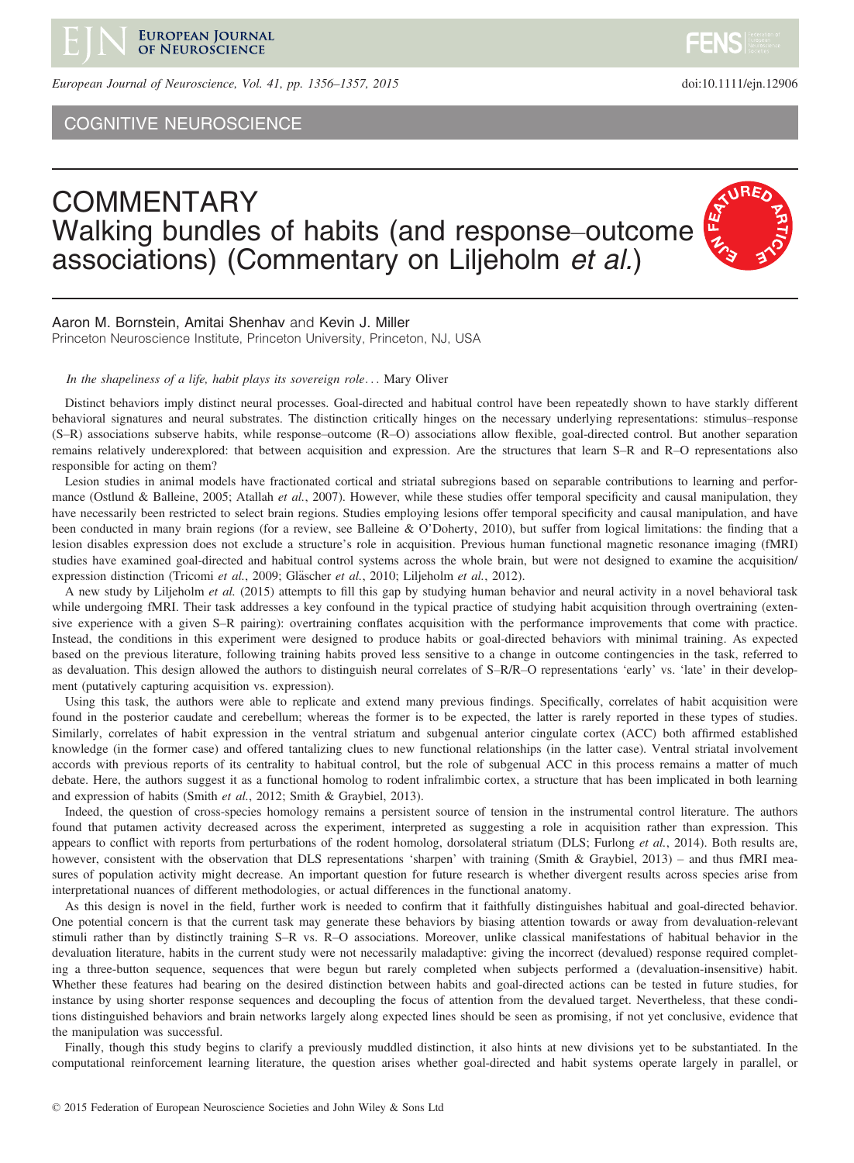

European Journal of Neuroscience, Vol. 41, pp. 1356–1357, 2015 doi:10.1111/ejn.12906

COGNITIVE NEUROSCIENCE

# **COMMENTARY** Walking bundles of habits (and response–outcome associations) (Commentary on Liljeholm et al.)

## Aaron M. Bornstein, Amitai Shenhav and Kevin J. Miller

Princeton Neuroscience Institute, Princeton University, Princeton, NJ, USA

#### In the shapeliness of a life, habit plays its sovereign role... Mary Oliver

Distinct behaviors imply distinct neural processes. Goal-directed and habitual control have been repeatedly shown to have starkly different behavioral signatures and neural substrates. The distinction critically hinges on the necessary underlying representations: stimulus–response (S–R) associations subserve habits, while response–outcome (R–O) associations allow flexible, goal-directed control. But another separation remains relatively underexplored: that between acquisition and expression. Are the structures that learn S–R and R–O representations also responsible for acting on them?

Lesion studies in animal models have fractionated cortical and striatal subregions based on separable contributions to learning and performance (Ostlund & Balleine, 2005; Atallah et al., 2007). However, while these studies offer temporal specificity and causal manipulation, they have necessarily been restricted to select brain regions. Studies employing lesions offer temporal specificity and causal manipulation, and have been conducted in many brain regions (for a review, see Balleine & O'Doherty, 2010), but suffer from logical limitations: the finding that a lesion disables expression does not exclude a structure's role in acquisition. Previous human functional magnetic resonance imaging (fMRI) studies have examined goal-directed and habitual control systems across the whole brain, but were not designed to examine the acquisition/ expression distinction (Tricomi et al., 2009; Gläscher et al., 2010; Liljeholm et al., 2012).

A new study by Liljeholm et al. (2015) attempts to fill this gap by studying human behavior and neural activity in a novel behavioral task while undergoing fMRI. Their task addresses a key confound in the typical practice of studying habit acquisition through overtraining (extensive experience with a given S–R pairing): overtraining conflates acquisition with the performance improvements that come with practice. Instead, the conditions in this experiment were designed to produce habits or goal-directed behaviors with minimal training. As expected based on the previous literature, following training habits proved less sensitive to a change in outcome contingencies in the task, referred to as devaluation. This design allowed the authors to distinguish neural correlates of S–R/R–O representations 'early' vs. 'late' in their development (putatively capturing acquisition vs. expression).

Using this task, the authors were able to replicate and extend many previous findings. Specifically, correlates of habit acquisition were found in the posterior caudate and cerebellum; whereas the former is to be expected, the latter is rarely reported in these types of studies. Similarly, correlates of habit expression in the ventral striatum and subgenual anterior cingulate cortex (ACC) both affirmed established knowledge (in the former case) and offered tantalizing clues to new functional relationships (in the latter case). Ventral striatal involvement accords with previous reports of its centrality to habitual control, but the role of subgenual ACC in this process remains a matter of much debate. Here, the authors suggest it as a functional homolog to rodent infralimbic cortex, a structure that has been implicated in both learning and expression of habits (Smith et al., 2012; Smith & Graybiel, 2013).

Indeed, the question of cross-species homology remains a persistent source of tension in the instrumental control literature. The authors found that putamen activity decreased across the experiment, interpreted as suggesting a role in acquisition rather than expression. This appears to conflict with reports from perturbations of the rodent homolog, dorsolateral striatum (DLS; Furlong et al., 2014). Both results are, however, consistent with the observation that DLS representations 'sharpen' with training (Smith & Graybiel, 2013) – and thus fMRI measures of population activity might decrease. An important question for future research is whether divergent results across species arise from interpretational nuances of different methodologies, or actual differences in the functional anatomy.

As this design is novel in the field, further work is needed to confirm that it faithfully distinguishes habitual and goal-directed behavior. One potential concern is that the current task may generate these behaviors by biasing attention towards or away from devaluation-relevant stimuli rather than by distinctly training S–R vs. R–O associations. Moreover, unlike classical manifestations of habitual behavior in the devaluation literature, habits in the current study were not necessarily maladaptive: giving the incorrect (devalued) response required completing a three-button sequence, sequences that were begun but rarely completed when subjects performed a (devaluation-insensitive) habit. Whether these features had bearing on the desired distinction between habits and goal-directed actions can be tested in future studies, for instance by using shorter response sequences and decoupling the focus of attention from the devalued target. Nevertheless, that these conditions distinguished behaviors and brain networks largely along expected lines should be seen as promising, if not yet conclusive, evidence that the manipulation was successful.

Finally, though this study begins to clarify a previously muddled distinction, it also hints at new divisions yet to be substantiated. In the computational reinforcement learning literature, the question arises whether goal-directed and habit systems operate largely in parallel, or